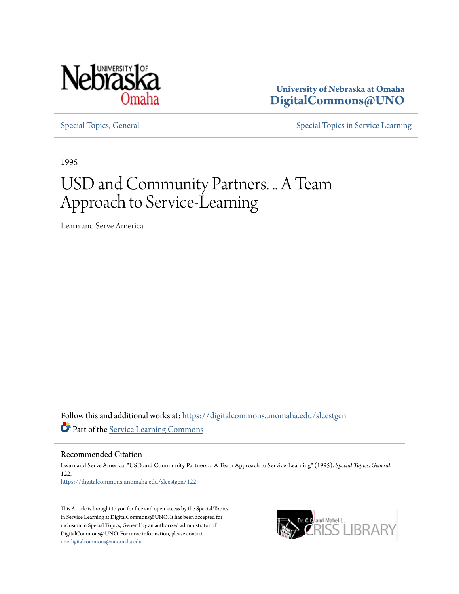

**University of Nebraska at Omaha [DigitalCommons@UNO](https://digitalcommons.unomaha.edu?utm_source=digitalcommons.unomaha.edu%2Fslcestgen%2F122&utm_medium=PDF&utm_campaign=PDFCoverPages)**

[Special Topics, General](https://digitalcommons.unomaha.edu/slcestgen?utm_source=digitalcommons.unomaha.edu%2Fslcestgen%2F122&utm_medium=PDF&utm_campaign=PDFCoverPages) [Special Topics in Service Learning](https://digitalcommons.unomaha.edu/slcespecialtopics?utm_source=digitalcommons.unomaha.edu%2Fslcestgen%2F122&utm_medium=PDF&utm_campaign=PDFCoverPages)

1995

## USD and Community Partners. .. A Team Approach to Service-Learning

Learn and Serve America

Follow this and additional works at: [https://digitalcommons.unomaha.edu/slcestgen](https://digitalcommons.unomaha.edu/slcestgen?utm_source=digitalcommons.unomaha.edu%2Fslcestgen%2F122&utm_medium=PDF&utm_campaign=PDFCoverPages) Part of the [Service Learning Commons](http://network.bepress.com/hgg/discipline/1024?utm_source=digitalcommons.unomaha.edu%2Fslcestgen%2F122&utm_medium=PDF&utm_campaign=PDFCoverPages)

Recommended Citation

Learn and Serve America, "USD and Community Partners. .. A Team Approach to Service-Learning" (1995). *Special Topics, General*. 122. [https://digitalcommons.unomaha.edu/slcestgen/122](https://digitalcommons.unomaha.edu/slcestgen/122?utm_source=digitalcommons.unomaha.edu%2Fslcestgen%2F122&utm_medium=PDF&utm_campaign=PDFCoverPages)

This Article is brought to you for free and open access by the Special Topics in Service Learning at DigitalCommons@UNO. It has been accepted for inclusion in Special Topics, General by an authorized administrator of DigitalCommons@UNO. For more information, please contact [unodigitalcommons@unomaha.edu](mailto:unodigitalcommons@unomaha.edu).